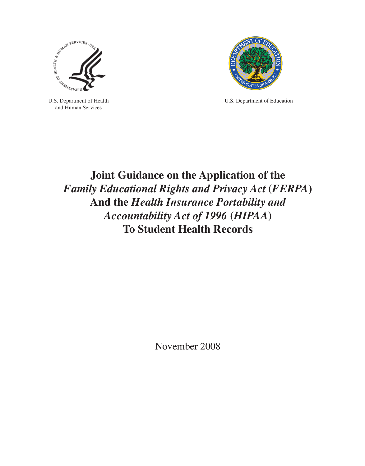

U.S. Department of Health and Human Services



U.S. Department of Education

# **Joint Guidance on the Application of the**  *Family Educational Rights and Privacy Act* **(***FERPA***) And the** *Health Insurance Portability and Accountability Act of 1996* **(***HIPAA***) To Student Health Records**

November 2008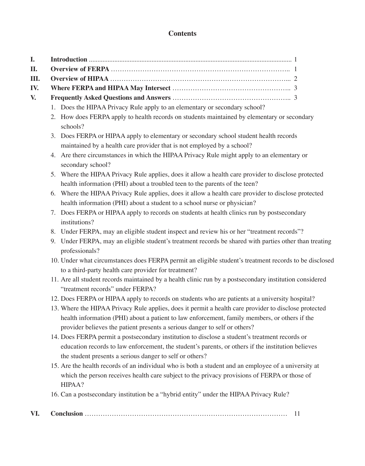# **Contents**

| I.  |                                                                                                                                                                                                                                                                                      |
|-----|--------------------------------------------------------------------------------------------------------------------------------------------------------------------------------------------------------------------------------------------------------------------------------------|
| II. |                                                                                                                                                                                                                                                                                      |
| Ш.  |                                                                                                                                                                                                                                                                                      |
| IV. |                                                                                                                                                                                                                                                                                      |
| V.  |                                                                                                                                                                                                                                                                                      |
|     | 1. Does the HIPAA Privacy Rule apply to an elementary or secondary school?                                                                                                                                                                                                           |
|     | 2. How does FERPA apply to health records on students maintained by elementary or secondary<br>schools?                                                                                                                                                                              |
|     | 3. Does FERPA or HIPAA apply to elementary or secondary school student health records                                                                                                                                                                                                |
|     | maintained by a health care provider that is not employed by a school?                                                                                                                                                                                                               |
|     | 4. Are there circumstances in which the HIPAA Privacy Rule might apply to an elementary or<br>secondary school?                                                                                                                                                                      |
|     | 5. Where the HIPAA Privacy Rule applies, does it allow a health care provider to disclose protected                                                                                                                                                                                  |
|     | health information (PHI) about a troubled teen to the parents of the teen?                                                                                                                                                                                                           |
|     | 6. Where the HIPAA Privacy Rule applies, does it allow a health care provider to disclose protected                                                                                                                                                                                  |
|     | health information (PHI) about a student to a school nurse or physician?                                                                                                                                                                                                             |
|     | Does FERPA or HIPAA apply to records on students at health clinics run by postsecondary<br>7.                                                                                                                                                                                        |
|     | institutions?                                                                                                                                                                                                                                                                        |
|     | 8. Under FERPA, may an eligible student inspect and review his or her "treatment records"?                                                                                                                                                                                           |
|     | Under FERPA, may an eligible student's treatment records be shared with parties other than treating<br>9.<br>professionals?                                                                                                                                                          |
|     | 10. Under what circumstances does FERPA permit an eligible student's treatment records to be disclosed<br>to a third-party health care provider for treatment?                                                                                                                       |
|     | 11. Are all student records maintained by a health clinic run by a postsecondary institution considered<br>"treatment records" under FERPA?                                                                                                                                          |
|     | 12. Does FERPA or HIPAA apply to records on students who are patients at a university hospital?                                                                                                                                                                                      |
|     | 13. Where the HIPAA Privacy Rule applies, does it permit a health care provider to disclose protected<br>health information (PHI) about a patient to law enforcement, family members, or others if the<br>provider believes the patient presents a serious danger to self or others? |
|     | 14. Does FERPA permit a postsecondary institution to disclose a student's treatment records or<br>education records to law enforcement, the student's parents, or others if the institution believes<br>the student presents a serious danger to self or others?                     |
|     | 15. Are the health records of an individual who is both a student and an employee of a university at<br>which the person receives health care subject to the privacy provisions of FERPA or those of<br>HIPAA?                                                                       |
|     | 16. Can a postsecondary institution be a "hybrid entity" under the HIPAA Privacy Rule?                                                                                                                                                                                               |
| VI. | 11                                                                                                                                                                                                                                                                                   |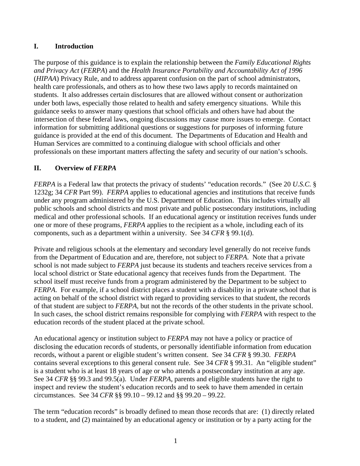#### **I. Introduction**

The purpose of this guidance is to explain the relationship between the *Family Educational Rights and Privacy Act* (*FERPA*) and the *Health Insurance Portability and Accountability Act of 1996* (*HIPAA*) Privacy Rule, and to address apparent confusion on the part of school administrators, health care professionals, and others as to how these two laws apply to records maintained on students. It also addresses certain disclosures that are allowed without consent or authorization under both laws, especially those related to health and safety emergency situations. While this guidance seeks to answer many questions that school officials and others have had about the intersection of these federal laws, ongoing discussions may cause more issues to emerge. Contact information for submitting additional questions or suggestions for purposes of informing future guidance is provided at the end of this document. The Departments of Education and Health and Human Services are committed to a continuing dialogue with school officials and other professionals on these important matters affecting the safety and security of our nation's schools.

## **II. Overview of** *FERPA*

*FERPA* is a Federal law that protects the privacy of students' "education records." (See 20 *U.S.C.* § 1232g; 34 *CFR* Part 99). *FERPA* applies to educational agencies and institutions that receive funds under any program administered by the U.S. Department of Education. This includes virtually all public schools and school districts and most private and public postsecondary institutions, including medical and other professional schools. If an educational agency or institution receives funds under one or more of these programs, *FERPA* applies to the recipient as a whole, including each of its components, such as a department within a university. See 34 *CFR* § 99.1(d).

Private and religious schools at the elementary and secondary level generally do not receive funds from the Department of Education and are, therefore, not subject to *FERPA*. Note that a private school is not made subject to *FERPA* just because its students and teachers receive services from a local school district or State educational agency that receives funds from the Department. The school itself must receive funds from a program administered by the Department to be subject to *FERPA*. For example, if a school district places a student with a disability in a private school that is acting on behalf of the school district with regard to providing services to that student, the records of that student are subject to *FERPA*, but not the records of the other students in the private school. In such cases, the school district remains responsible for complying with *FERPA* with respect to the education records of the student placed at the private school.

An educational agency or institution subject to *FERPA* may not have a policy or practice of disclosing the education records of students, or personally identifiable information from education records, without a parent or eligible student's written consent. See 34 *CFR* § 99.30. *FERPA*  contains several exceptions to this general consent rule. See 34 *CFR* § 99.31. An "eligible student" is a student who is at least 18 years of age or who attends a postsecondary institution at any age. See 34 *CFR* §§ 99.3 and 99.5(a). Under *FERPA*, parents and eligible students have the right to inspect and review the student's education records and to seek to have them amended in certain circumstances. See 34 *CFR* §§ 99.10 – 99.12 and §§ 99.20 – 99.22.

The term "education records" is broadly defined to mean those records that are: (1) directly related to a student, and (2) maintained by an educational agency or institution or by a party acting for the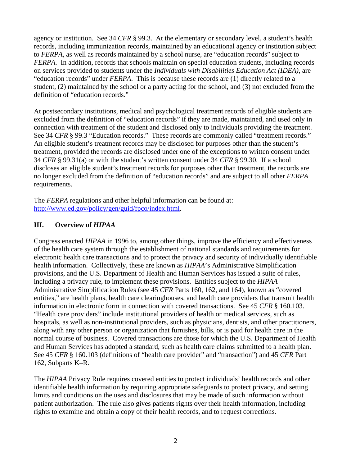agency or institution. See 34 *CFR* § 99.3. At the elementary or secondary level, a student's health records, including immunization records, maintained by an educational agency or institution subject to *FERPA*, as well as records maintained by a school nurse, are "education records" subject to *FERPA*. In addition, records that schools maintain on special education students, including records on services provided to students under the *Individuals with Disabilities Education Act (IDEA),* are "education records" under *FERPA*. This is because these records are (1) directly related to a student, (2) maintained by the school or a party acting for the school, and (3) not excluded from the definition of "education records."

At postsecondary institutions, medical and psychological treatment records of eligible students are excluded from the definition of "education records" if they are made, maintained, and used only in connection with treatment of the student and disclosed only to individuals providing the treatment. See 34 *CFR* § 99.3 "Education records." These records are commonly called "treatment records." An eligible student's treatment records may be disclosed for purposes other than the student's treatment, provided the records are disclosed under one of the exceptions to written consent under 34 *CFR* § 99.31(a) or with the student's written consent under 34 *CFR* § 99.30. If a school discloses an eligible student's treatment records for purposes other than treatment, the records are no longer excluded from the definition of "education records" and are subject to all other *FERPA* requirements.

The *FERPA* regulations and other helpful information can be found at: [http://www.ed.gov/policy/gen/guid/fpco/index.html.](http://www.ed.gov/policy/gen/guid/fpco/index.html)

# **III. Overview of** *HIPAA*

Congress enacted *HIPAA* in 1996 to, among other things, improve the efficiency and effectiveness of the health care system through the establishment of national standards and requirements for electronic health care transactions and to protect the privacy and security of individually identifiable health information. Collectively, these are known as *HIPAA*'s Administrative Simplification provisions, and the U.S. Department of Health and Human Services has issued a suite of rules, including a privacy rule, to implement these provisions. Entities subject to the *HIPAA* Administrative Simplification Rules (see 45 *CFR* Parts 160, 162, and 164), known as "covered entities," are health plans, health care clearinghouses, and health care providers that transmit health information in electronic form in connection with covered transactions. See 45 *CFR* § 160.103. "Health care providers" include institutional providers of health or medical services, such as hospitals, as well as non-institutional providers, such as physicians, dentists, and other practitioners, along with any other person or organization that furnishes, bills, or is paid for health care in the normal course of business. Covered transactions are those for which the U.S. Department of Health and Human Services has adopted a standard, such as health care claims submitted to a health plan. See 45 *CFR* § 160.103 (definitions of "health care provider" and "transaction") and 45 *CFR* Part 162, Subparts K–R.

The *HIPAA* Privacy Rule requires covered entities to protect individuals' health records and other identifiable health information by requiring appropriate safeguards to protect privacy, and setting limits and conditions on the uses and disclosures that may be made of such information without patient authorization. The rule also gives patients rights over their health information, including rights to examine and obtain a copy of their health records, and to request corrections.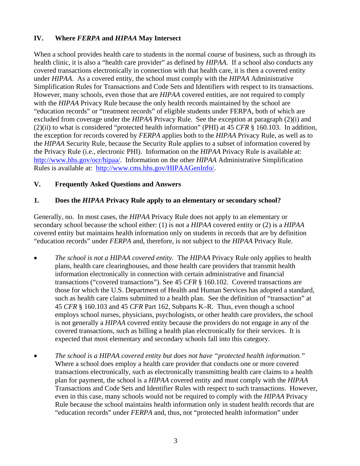## **IV. Where** *FERPA* **and** *HIPAA* **May Intersect**

When a school provides health care to students in the normal course of business, such as through its health clinic, it is also a "health care provider" as defined by *HIPAA*. If a school also conducts any covered transactions electronically in connection with that health care, it is then a covered entity under *HIPAA*. As a covered entity, the school must comply with the *HIPAA* Administrative Simplification Rules for Transactions and Code Sets and Identifiers with respect to its transactions. However, many schools, even those that are *HIPAA* covered entities, are not required to comply with the *HIPAA* Privacy Rule because the only health records maintained by the school are "education records" or "treatment records" of eligible students under FERPA, both of which are excluded from coverage under the *HIPAA* Privacy Rule. See the exception at paragraph (2)(i) and (2)(ii) to what is considered "protected health information" (PHI) at 45 *CFR* § 160.103. In addition, the exception for records covered by *FERPA* applies both to the *HIPAA* Privacy Rule, as well as to the *HIPAA* Security Rule, because the Security Rule applies to a subset of information covered by the Privacy Rule (i.e., electronic PHI). Information on the *HIPAA* Privacy Rule is available at: <http://www.hhs.gov/ocr/hipaa/>. Information on the other *HIPAA* Administrative Simplification Rules is available at: [http://www.cms.hhs.gov/HIPAAGenInfo/](https://webmail.hhs.gov/exchweb/bin/redir.asp?URL=http://www.cms.hhs.gov/HIPAAGenInfo/).

## **V. Frequently Asked Questions and Answers**

## **1. Does the** *HIPAA* **Privacy Rule apply to an elementary or secondary school?**

Generally, no. In most cases, the *HIPAA* Privacy Rule does not apply to an elementary or secondary school because the school either: (1) is not a *HIPAA* covered entity or (2) is a *HIPAA* covered entity but maintains health information only on students in records that are by definition "education records" under *FERPA* and, therefore, is not subject to the *HIPAA* Privacy Rule.

- *The school is not a HIPAA covered entity.* The *HIPAA* Privacy Rule only applies to health plans, health care clearinghouses, and those health care providers that transmit health information electronically in connection with certain administrative and financial transactions ("covered transactions"). See 45 *CFR* § 160.102. Covered transactions are those for which the U.S. Department of Health and Human Services has adopted a standard, such as health care claims submitted to a health plan. See the definition of "transaction" at 45 *CFR* § 160.103 and 45 *CFR* Part 162, Subparts K–R. Thus, even though a school employs school nurses, physicians, psychologists, or other health care providers, the school is not generally a *HIPAA* covered entity because the providers do not engage in any of the covered transactions, such as billing a health plan electronically for their services. It is expected that most elementary and secondary schools fall into this category.
- *The school is a HIPAA covered entity but does not have "protected health information."*  Where a school does employ a health care provider that conducts one or more covered transactions electronically, such as electronically transmitting health care claims to a health plan for payment, the school is a *HIPAA* covered entity and must comply with the *HIPAA* Transactions and Code Sets and Identifier Rules with respect to such transactions. However, even in this case, many schools would not be required to comply with the *HIPAA* Privacy Rule because the school maintains health information only in student health records that are "education records" under *FERPA* and, thus, not "protected health information" under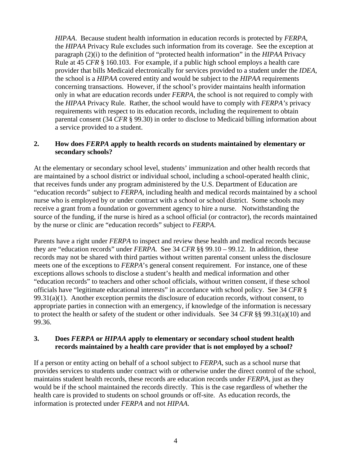*HIPAA*. Because student health information in education records is protected by *FERPA*, the *HIPAA* Privacy Rule excludes such information from its coverage. See the exception at paragraph (2)(i) to the definition of "protected health information" in the *HIPAA* Privacy Rule at 45 *CFR* § 160.103. For example, if a public high school employs a health care provider that bills Medicaid electronically for services provided to a student under the *IDEA*, the school is a *HIPAA* covered entity and would be subject to the *HIPAA* requirements concerning transactions. However, if the school's provider maintains health information only in what are education records under *FERPA*, the school is not required to comply with the *HIPAA* Privacy Rule. Rather, the school would have to comply with *FERPA's* privacy requirements with respect to its education records, including the requirement to obtain parental consent (34 *CFR* § 99.30) in order to disclose to Medicaid billing information about a service provided to a student.

#### **2. How does** *FERPA* **apply to health records on students maintained by elementary or secondary schools?**

At the elementary or secondary school level, students' immunization and other health records that are maintained by a school district or individual school, including a school-operated health clinic, that receives funds under any program administered by the U.S. Department of Education are "education records" subject to *FERPA*, including health and medical records maintained by a school nurse who is employed by or under contract with a school or school district. Some schools may receive a grant from a foundation or government agency to hire a nurse. Notwithstanding the source of the funding, if the nurse is hired as a school official (or contractor), the records maintained by the nurse or clinic are "education records" subject to *FERPA*.

Parents have a right under *FERPA* to inspect and review these health and medical records because they are "education records" under *FERPA*. See 34 *CFR* §§ 99.10 – 99.12. In addition, these records may not be shared with third parties without written parental consent unless the disclosure meets one of the exceptions to *FERPA*'s general consent requirement. For instance, one of these exceptions allows schools to disclose a student's health and medical information and other "education records" to teachers and other school officials, without written consent, if these school officials have "legitimate educational interests" in accordance with school policy. See 34 *CFR* §  $99.31(a)(1)$ . Another exception permits the disclosure of education records, without consent, to appropriate parties in connection with an emergency, if knowledge of the information is necessary to protect the health or safety of the student or other individuals. See 34 *CFR* §§ 99.31(a)(10) and 99.36.

## **3. Does** *FERPA* **or** *HIPAA* **apply to elementary or secondary school student health records maintained by a health care provider that is not employed by a school?**

If a person or entity acting on behalf of a school subject to *FERPA*, such as a school nurse that provides services to students under contract with or otherwise under the direct control of the school, maintains student health records, these records are education records under *FERPA*, just as they would be if the school maintained the records directly. This is the case regardless of whether the health care is provided to students on school grounds or off-site. As education records, the information is protected under *FERPA* and not *HIPAA*.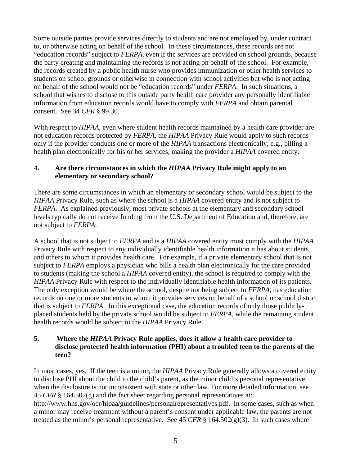Some outside parties provide services directly to students and are not employed by, under contract to, or otherwise acting on behalf of the school. In these circumstances, these records are not "education records" subject to *FERPA*, even if the services are provided on school grounds, because the party creating and maintaining the records is not acting on behalf of the school. For example, the records created by a public health nurse who provides immunization or other health services to students on school grounds or otherwise in connection with school activities but who is not acting on behalf of the school would not be "education records" under *FERPA*. In such situations, a school that wishes to disclose to this outside party health care provider any personally identifiable information from education records would have to comply with *FERPA* and obtain parental consent. See 34 *CFR* § 99.30.

With respect to *HIPAA*, even where student health records maintained by a health care provider are not education records protected by *FERPA*, the *HIPAA* Privacy Rule would apply to such records only if the provider conducts one or more of the *HIPAA* transactions electronically, e.g., billing a health plan electronically for his or her services, making the provider a *HIPAA* covered entity.

## **4. Are there circumstances in which the** *HIPAA* **Privacy Rule might apply to an elementary or secondary school?**

There are some circumstances in which an elementary or secondary school would be subject to the *HIPAA* Privacy Rule, such as where the school is a *HIPAA* covered entity and is not subject to *FERPA*. As explained previously, most private schools at the elementary and secondary school levels typically do not receive funding from the U.S. Department of Education and, therefore, are not subject to *FERPA*.

A school that is not subject to *FERPA* and is a *HIPAA* covered entity must comply with the *HIPAA* Privacy Rule with respect to any individually identifiable health information it has about students and others to whom it provides health care. For example, if a private elementary school that is not subject to *FERPA* employs a physician who bills a health plan electronically for the care provided to students (making the school a *HIPAA* covered entity), the school is required to comply with the *HIPAA* Privacy Rule with respect to the individually identifiable health information of its patients. The only exception would be where the school, despite not being subject to *FERPA*, has education records on one or more students to whom it provides services on behalf of a school or school district that is subject to *FERPA*. In this exceptional case, the education records of only those publiclyplaced students held by the private school would be subject to *FERPA*, while the remaining student health records would be subject to the *HIPAA* Privacy Rule.

#### **5. Where the** *HIPAA* **Privacy Rule applies, does it allow a health care provider to disclose protected health information (PHI) about a troubled teen to the parents of the teen?**

In most cases, yes. If the teen is a minor, the *HIPAA* Privacy Rule generally allows a covered entity to disclose PHI about the child to the child's parent, as the minor child's personal representative, when the disclosure is not inconsistent with state or other law. For more detailed information, see 45 *CFR* § 164.502(g) and the fact sheet regarding personal representatives at: [http://www.hhs.gov/ocr/hipaa/guidelines/personalrepresentatives.pdf.](http://www.hhs.gov/ocr/hipaa/guidelines/personalrepresentatives.pdf) In some cases, such as when a minor may receive treatment without a parent's consent under applicable law, the parents are not treated as the minor's personal representative. See 45 *CFR*  $\S$  164.502(g)(3). In such cases where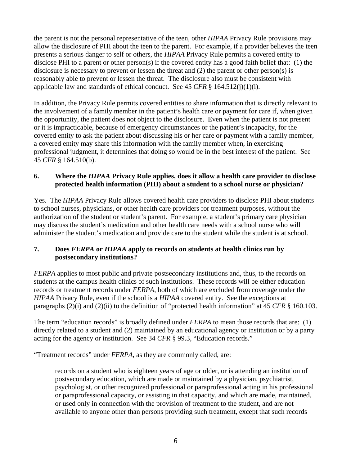the parent is not the personal representative of the teen, other *HIPAA* Privacy Rule provisions may allow the disclosure of PHI about the teen to the parent. For example, if a provider believes the teen presents a serious danger to self or others, the *HIPAA* Privacy Rule permits a covered entity to disclose PHI to a parent or other person(s) if the covered entity has a good faith belief that: (1) the disclosure is necessary to prevent or lessen the threat and (2) the parent or other person(s) is reasonably able to prevent or lessen the threat. The disclosure also must be consistent with applicable law and standards of ethical conduct. See 45 *CFR* § 164.512(j)(1)(i).

In addition, the Privacy Rule permits covered entities to share information that is directly relevant to the involvement of a family member in the patient's health care or payment for care if, when given the opportunity, the patient does not object to the disclosure. Even when the patient is not present or it is impracticable, because of emergency circumstances or the patient's incapacity, for the covered entity to ask the patient about discussing his or her care or payment with a family member, a covered entity may share this information with the family member when, in exercising professional judgment, it determines that doing so would be in the best interest of the patient. See 45 *CFR* § 164.510(b).

## **6. Where the** *HIPAA* **Privacy Rule applies, does it allow a health care provider to disclose protected health information (PHI) about a student to a school nurse or physician?**

Yes. The *HIPAA* Privacy Rule allows covered health care providers to disclose PHI about students to school nurses, physicians, or other health care providers for treatment purposes, without the authorization of the student or student's parent. For example, a student's primary care physician may discuss the student's medication and other health care needs with a school nurse who will administer the student's medication and provide care to the student while the student is at school.

## **7. Does** *FERPA* **or** *HIPAA* **apply to records on students at health clinics run by postsecondary institutions?**

*FERPA* applies to most public and private postsecondary institutions and, thus, to the records on students at the campus health clinics of such institutions. These records will be either education records or treatment records under *FERPA*, both of which are excluded from coverage under the *HIPAA* Privacy Rule, even if the school is a *HIPAA* covered entity. See the exceptions at paragraphs (2)(i) and (2)(ii) to the definition of "protected health information" at 45 *CFR* § 160.103.

The term "education records" is broadly defined under *FERPA* to mean those records that are: (1) directly related to a student and (2) maintained by an educational agency or institution or by a party acting for the agency or institution. See 34 *CFR* § 99.3, "Education records."

"Treatment records" under *FERPA*, as they are commonly called, are:

records on a student who is eighteen years of age or older, or is attending an institution of postsecondary education, which are made or maintained by a physician, psychiatrist, psychologist, or other recognized professional or paraprofessional acting in his professional or paraprofessional capacity, or assisting in that capacity, and which are made, maintained, or used only in connection with the provision of treatment to the student, and are not available to anyone other than persons providing such treatment, except that such records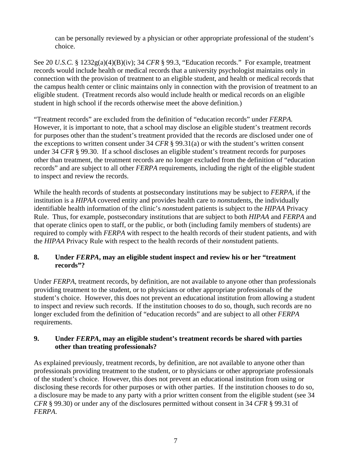can be personally reviewed by a physician or other appropriate professional of the student's choice.

See 20 *U.S.C.* § 1232g(a)(4)(B)(iv); 34 *CFR* § 99.3, "Education records." For example, treatment records would include health or medical records that a university psychologist maintains only in connection with the provision of treatment to an eligible student, and health or medical records that the campus health center or clinic maintains only in connection with the provision of treatment to an eligible student. (Treatment records also would include health or medical records on an eligible student in high school if the records otherwise meet the above definition.)

"Treatment records" are excluded from the definition of "education records" under *FERPA.* However, it is important to note, that a school may disclose an eligible student's treatment records for purposes other than the student's treatment provided that the records are disclosed under one of the exceptions to written consent under 34 *CFR* § 99.31(a) or with the student's written consent under 34 *CFR* § 99.30. If a school discloses an eligible student's treatment records for purposes other than treatment, the treatment records are no longer excluded from the definition of "education records" and are subject to all other *FERPA* requirements, including the right of the eligible student to inspect and review the records.

While the health records of students at postsecondary institutions may be subject to *FERPA*, if the institution is a *HIPAA* covered entity and provides health care to *non*students, the individually identifiable health information of the clinic's *non*student patients is subject to the *HIPAA* Privacy Rule. Thus, for example, postsecondary institutions that are subject to both *HIPAA* and *FERPA* and that operate clinics open to staff, or the public, or both (including family members of students) are required to comply with *FERPA* with respect to the health records of their student patients, and with the *HIPAA* Privacy Rule with respect to the health records of their *non*student patients.

## **8. Under** *FERPA***, may an eligible student inspect and review his or her "treatment records"?**

Under *FERPA*, treatment records, by definition, are not available to anyone other than professionals providing treatment to the student, or to physicians or other appropriate professionals of the student's choice. However, this does not prevent an educational institution from allowing a student to inspect and review such records. If the institution chooses to do so, though, such records are no longer excluded from the definition of "education records" and are subject to all other *FERPA*  requirements.

## **9. Under** *FERPA***, may an eligible student's treatment records be shared with parties other than treating professionals?**

As explained previously, treatment records, by definition, are not available to anyone other than professionals providing treatment to the student, or to physicians or other appropriate professionals of the student's choice. However, this does not prevent an educational institution from using or disclosing these records for other purposes or with other parties. If the institution chooses to do so, a disclosure may be made to any party with a prior written consent from the eligible student (see 34 *CFR* § 99.30) or under any of the disclosures permitted without consent in 34 *CFR* § 99.31 of *FERPA*.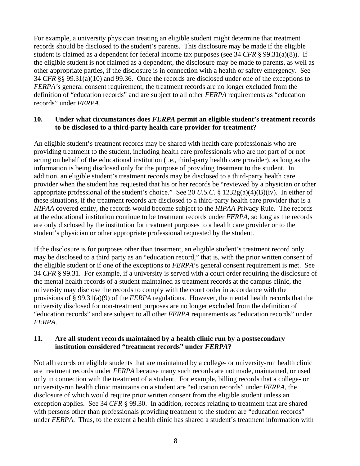For example, a university physician treating an eligible student might determine that treatment records should be disclosed to the student's parents. This disclosure may be made if the eligible student is claimed as a dependent for federal income tax purposes (see 34 *CFR* § 99.31(a)(8)). If the eligible student is not claimed as a dependent, the disclosure may be made to parents, as well as other appropriate parties, if the disclosure is in connection with a health or safety emergency. See 34 *CFR* §§ 99.31(a)(10) and 99.36. Once the records are disclosed under one of the exceptions to *FERPA's* general consent requirement, the treatment records are no longer excluded from the definition of "education records" and are subject to all other *FERPA* requirements as "education records" under *FERPA*.

#### **10. Under what circumstances does** *FERPA* **permit an eligible student's treatment records to be disclosed to a third-party health care provider for treatment?**

An eligible student's treatment records may be shared with health care professionals who are providing treatment to the student, including health care professionals who are not part of or not acting on behalf of the educational institution (i.e., third-party health care provider), as long as the information is being disclosed only for the purpose of providing treatment to the student. In addition, an eligible student's treatment records may be disclosed to a third-party health care provider when the student has requested that his or her records be "reviewed by a physician or other appropriate professional of the student's choice." See 20 *U.S.C.* § 1232g(a)(4)(B)(iv). In either of these situations, if the treatment records are disclosed to a third-party health care provider that is a *HIPAA* covered entity, the records would become subject to the *HIPAA* Privacy Rule. The records at the educational institution continue to be treatment records under *FERPA*, so long as the records are only disclosed by the institution for treatment purposes to a health care provider or to the student's physician or other appropriate professional requested by the student.

If the disclosure is for purposes other than treatment, an eligible student's treatment record only may be disclosed to a third party as an "education record," that is, with the prior written consent of the eligible student or if one of the exceptions to *FERPA*'s general consent requirement is met. See 34 *CFR* § 99.31. For example, if a university is served with a court order requiring the disclosure of the mental health records of a student maintained as treatment records at the campus clinic, the university may disclose the records to comply with the court order in accordance with the provisions of § 99.31(a)(9) of the *FERPA* regulations. However, the mental health records that the university disclosed for non-treatment purposes are no longer excluded from the definition of "education records" and are subject to all other *FERPA* requirements as "education records" under *FERPA*.

## **11. Are all student records maintained by a health clinic run by a postsecondary institution considered "treatment records" under** *FERPA***?**

Not all records on eligible students that are maintained by a college- or university-run health clinic are treatment records under *FERPA* because many such records are not made, maintained, or used only in connection with the treatment of a student. For example, billing records that a college- or university-run health clinic maintains on a student are "education records" under *FERPA*, the disclosure of which would require prior written consent from the eligible student unless an exception applies. See 34 *CFR* § 99.30. In addition, records relating to treatment that are shared with persons other than professionals providing treatment to the student are "education records" under *FERPA*. Thus, to the extent a health clinic has shared a student's treatment information with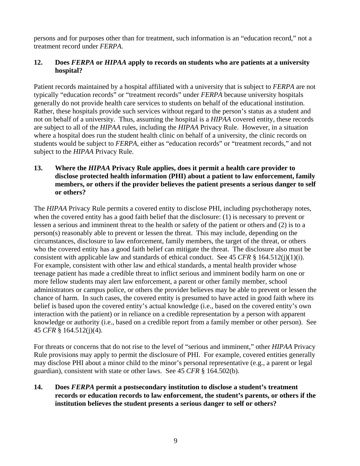persons and for purposes other than for treatment, such information is an "education record," not a treatment record under *FERPA*.

## **12. Does** *FERPA* **or** *HIPAA* **apply to records on students who are patients at a university hospital?**

Patient records maintained by a hospital affiliated with a university that is subject to *FERPA* are not typically "education records" or "treatment records" under *FERPA* because university hospitals generally do not provide health care services to students on behalf of the educational institution. Rather, these hospitals provide such services without regard to the person's status as a student and not on behalf of a university. Thus, assuming the hospital is a *HIPAA* covered entity, these records are subject to all of the *HIPAA* rules, including the *HIPAA* Privacy Rule. However, in a situation where a hospital does run the student health clinic on behalf of a university, the clinic records on students would be subject to *FERPA,* either as "education records" or "treatment records," and not subject to the *HIPAA* Privacy Rule.

## **13. Where the** *HIPAA* **Privacy Rule applies, does it permit a health care provider to disclose protected health information (PHI) about a patient to law enforcement, family members, or others if the provider believes the patient presents a serious danger to self or others?**

The *HIPAA* Privacy Rule permits a covered entity to disclose PHI, including psychotherapy notes, when the covered entity has a good faith belief that the disclosure: (1) is necessary to prevent or lessen a serious and imminent threat to the health or safety of the patient or others and (2) is to a person(s) reasonably able to prevent or lessen the threat. This may include, depending on the circumstances, disclosure to law enforcement, family members, the target of the threat, or others who the covered entity has a good faith belief can mitigate the threat. The disclosure also must be consistent with applicable law and standards of ethical conduct. See 45 *CFR* § 164.512(j)(1)(i). For example, consistent with other law and ethical standards, a mental health provider whose teenage patient has made a credible threat to inflict serious and imminent bodily harm on one or more fellow students may alert law enforcement, a parent or other family member, school administrators or campus police, or others the provider believes may be able to prevent or lessen the chance of harm. In such cases, the covered entity is presumed to have acted in good faith where its belief is based upon the covered entity's actual knowledge (i.e., based on the covered entity's own interaction with the patient) or in reliance on a credible representation by a person with apparent knowledge or authority (i.e., based on a credible report from a family member or other person). See 45 *CFR* § 164.512(j)(4).

For threats or concerns that do not rise to the level of "serious and imminent," other *HIPAA* Privacy Rule provisions may apply to permit the disclosure of PHI. For example, covered entities generally may disclose PHI about a minor child to the minor's personal representative (e.g., a parent or legal guardian), consistent with state or other laws. See 45 *CFR* § 164.502(b).

## **14. Does** *FERPA* **permit a postsecondary institution to disclose a student's treatment records or education records to law enforcement, the student's parents, or others if the institution believes the student presents a serious danger to self or others?**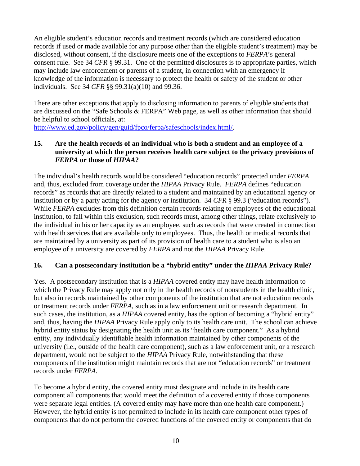An eligible student's education records and treatment records (which are considered education records if used or made available for any purpose other than the eligible student's treatment) may be disclosed, without consent, if the disclosure meets one of the exceptions to *FERPA*'s general consent rule. See 34 *CFR* § 99.31. One of the permitted disclosures is to appropriate parties, which may include law enforcement or parents of a student, in connection with an emergency if knowledge of the information is necessary to protect the health or safety of the student or other individuals. See 34 *CFR* §§ 99.31(a)(10) and 99.36.

There are other exceptions that apply to disclosing information to parents of eligible students that are discussed on the "Safe Schools & FERPA" Web page, as well as other information that should be helpful to school officials, at:

[http://www.ed.gov/policy/gen/guid/fpco/ferpa/safeschools/index.html/.](http://www.ed.gov/policy/gen/guid/fpco/ferpa/safeschools/index.html/)

## **15. Are the health records of an individual who is both a student and an employee of a university at which the person receives health care subject to the privacy provisions of**  *FERPA* **or those of** *HIPAA***?**

The individual's health records would be considered "education records" protected under *FERPA* and, thus, excluded from coverage under the *HIPAA* Privacy Rule. *FERPA* defines "education records" as records that are directly related to a student and maintained by an educational agency or institution or by a party acting for the agency or institution. 34 *CFR* § 99.3 ("education records"). While *FERPA* excludes from this definition certain records relating to employees of the educational institution, to fall within this exclusion, such records must, among other things, relate exclusively to the individual in his or her capacity as an employee, such as records that were created in connection with health services that are available only to employees. Thus, the health or medical records that are maintained by a university as part of its provision of health care to a student who is also an employee of a university are covered by *FERPA* and not the *HIPAA* Privacy Rule.

# **16. Can a postsecondary institution be a "hybrid entity" under the** *HIPAA* **Privacy Rule?**

Yes. A postsecondary institution that is a *HIPAA* covered entity may have health information to which the Privacy Rule may apply not only in the health records of nonstudents in the health clinic, but also in records maintained by other components of the institution that are not education records or treatment records under *FERPA*, such as in a law enforcement unit or research department. In such cases, the institution, as a *HIPAA* covered entity, has the option of becoming a "hybrid entity" and, thus, having the *HIPAA* Privacy Rule apply only to its health care unit. The school can achieve hybrid entity status by designating the health unit as its "health care component." As a hybrid entity, any individually identifiable health information maintained by other components of the university (i.e., outside of the health care component), such as a law enforcement unit, or a research department, would not be subject to the *HIPAA* Privacy Rule, notwithstanding that these components of the institution might maintain records that are not "education records" or treatment records under *FERPA*.

To become a hybrid entity, the covered entity must designate and include in its health care component all components that would meet the definition of a covered entity if those components were separate legal entities. (A covered entity may have more than one health care component.) However, the hybrid entity is not permitted to include in its health care component other types of components that do not perform the covered functions of the covered entity or components that do